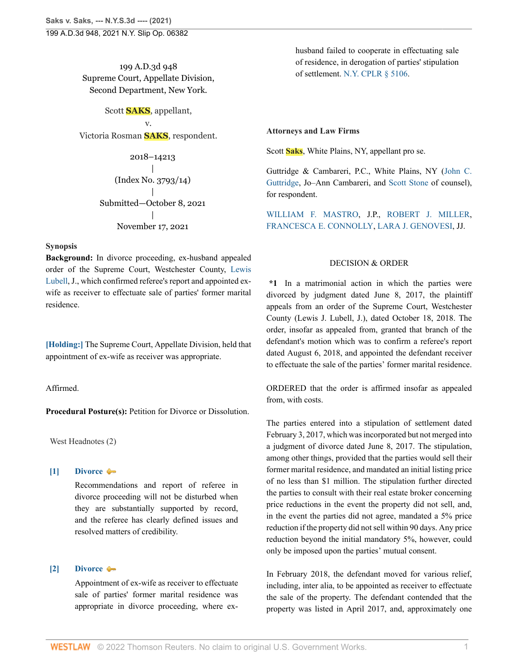199 A.D.3d 948 Supreme Court, Appellate Division, Second Department, New York.

Scott **SAKS**, appellant, v. Victoria Rosman **SAKS**, respondent.

> 2018–14213 | (Index No. 3793/14) | Submitted—October 8, 2021 | November 17, 2021

### **Synopsis**

**Background:** In divorce proceeding, ex-husband appealed order of the Supreme Court, Westchester County, [Lewis](http://www.westlaw.com/Link/Document/FullText?findType=h&pubNum=176284&cite=0105637301&originatingDoc=I45011ac047d111ecb124ab1bb8098962&refType=RQ&originationContext=document&vr=3.0&rs=cblt1.0&transitionType=DocumentItem&contextData=(sc.Search)) [Lubell](http://www.westlaw.com/Link/Document/FullText?findType=h&pubNum=176284&cite=0105637301&originatingDoc=I45011ac047d111ecb124ab1bb8098962&refType=RQ&originationContext=document&vr=3.0&rs=cblt1.0&transitionType=DocumentItem&contextData=(sc.Search)), J., which confirmed referee's report and appointed exwife as receiver to effectuate sale of parties' former marital residence.

**[\[Holding:\]](#page-0-0)** The Supreme Court, Appellate Division, held that appointment of ex-wife as receiver was appropriate.

Affirmed.

**Procedural Posture(s):** Petition for Divorce or Dissolution.

West Headnotes (2)

## <span id="page-0-1"></span>**[\[1\]](#page-1-0) [Divorce](http://www.westlaw.com/Browse/Home/KeyNumber/134/View.html?docGuid=I45011ac047d111ecb124ab1bb8098962&originationContext=document&vr=3.0&rs=cblt1.0&transitionType=DocumentItem&contextData=(sc.Search))**

Recommendations and report of referee in divorce proceeding will not be disturbed when they are substantially supported by record, and the referee has clearly defined issues and resolved matters of credibility.

## <span id="page-0-0"></span>**[\[2\]](#page-1-1) [Divorce](http://www.westlaw.com/Browse/Home/KeyNumber/134/View.html?docGuid=I45011ac047d111ecb124ab1bb8098962&originationContext=document&vr=3.0&rs=cblt1.0&transitionType=DocumentItem&contextData=(sc.Search))**

Appointment of ex-wife as receiver to effectuate sale of parties' former marital residence was appropriate in divorce proceeding, where exhusband failed to cooperate in effectuating sale of residence, in derogation of parties' stipulation of settlement. [N.Y. CPLR § 5106](http://www.westlaw.com/Link/Document/FullText?findType=L&pubNum=1000059&cite=NYCPS5106&originatingDoc=I45011ac047d111ecb124ab1bb8098962&refType=LQ&originationContext=document&vr=3.0&rs=cblt1.0&transitionType=DocumentItem&contextData=(sc.Search)).

#### **Attorneys and Law Firms**

Scott **Saks**, White Plains, NY, appellant pro se.

Guttridge & Cambareri, P.C., White Plains, NY [\(John C.](http://www.westlaw.com/Link/Document/FullText?findType=h&pubNum=176284&cite=0206358501&originatingDoc=I45011ac047d111ecb124ab1bb8098962&refType=RQ&originationContext=document&vr=3.0&rs=cblt1.0&transitionType=DocumentItem&contextData=(sc.Search)) [Guttridge](http://www.westlaw.com/Link/Document/FullText?findType=h&pubNum=176284&cite=0206358501&originatingDoc=I45011ac047d111ecb124ab1bb8098962&refType=RQ&originationContext=document&vr=3.0&rs=cblt1.0&transitionType=DocumentItem&contextData=(sc.Search)), Jo–Ann Cambareri, and [Scott Stone](http://www.westlaw.com/Link/Document/FullText?findType=h&pubNum=176284&cite=0326321801&originatingDoc=I45011ac047d111ecb124ab1bb8098962&refType=RQ&originationContext=document&vr=3.0&rs=cblt1.0&transitionType=DocumentItem&contextData=(sc.Search)) of counsel), for respondent.

[WILLIAM F. MASTRO,](http://www.westlaw.com/Link/Document/FullText?findType=h&pubNum=176284&cite=0107935801&originatingDoc=I45011ac047d111ecb124ab1bb8098962&refType=RQ&originationContext=document&vr=3.0&rs=cblt1.0&transitionType=DocumentItem&contextData=(sc.Search)) J.P., [ROBERT J. MILLER,](http://www.westlaw.com/Link/Document/FullText?findType=h&pubNum=176284&cite=0238268101&originatingDoc=I45011ac047d111ecb124ab1bb8098962&refType=RQ&originationContext=document&vr=3.0&rs=cblt1.0&transitionType=DocumentItem&contextData=(sc.Search)) [FRANCESCA E. CONNOLLY](http://www.westlaw.com/Link/Document/FullText?findType=h&pubNum=176284&cite=0144518701&originatingDoc=I45011ac047d111ecb124ab1bb8098962&refType=RQ&originationContext=document&vr=3.0&rs=cblt1.0&transitionType=DocumentItem&contextData=(sc.Search)), [LARA J. GENOVESI,](http://www.westlaw.com/Link/Document/FullText?findType=h&pubNum=176284&cite=0487571101&originatingDoc=I45011ac047d111ecb124ab1bb8098962&refType=RQ&originationContext=document&vr=3.0&rs=cblt1.0&transitionType=DocumentItem&contextData=(sc.Search)) JJ.

## DECISION & ORDER

**\*1** In a matrimonial action in which the parties were divorced by judgment dated June 8, 2017, the plaintiff appeals from an order of the Supreme Court, Westchester County (Lewis J. Lubell, J.), dated October 18, 2018. The order, insofar as appealed from, granted that branch of the defendant's motion which was to confirm a referee's report dated August 6, 2018, and appointed the defendant receiver to effectuate the sale of the parties' former marital residence.

ORDERED that the order is affirmed insofar as appealed from, with costs.

The parties entered into a stipulation of settlement dated February 3, 2017, which was incorporated but not merged into a judgment of divorce dated June 8, 2017. The stipulation, among other things, provided that the parties would sell their former marital residence, and mandated an initial listing price of no less than \$1 million. The stipulation further directed the parties to consult with their real estate broker concerning price reductions in the event the property did not sell, and, in the event the parties did not agree, mandated a 5% price reduction if the property did not sell within 90 days. Any price reduction beyond the initial mandatory 5%, however, could only be imposed upon the parties' mutual consent.

In February 2018, the defendant moved for various relief, including, inter alia, to be appointed as receiver to effectuate the sale of the property. The defendant contended that the property was listed in April 2017, and, approximately one